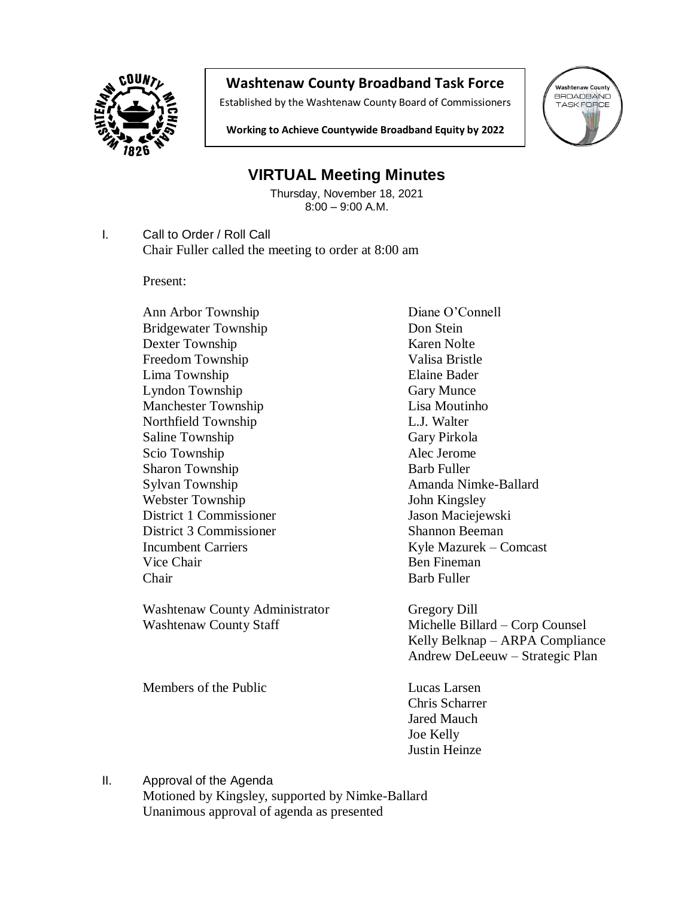

## **Washtenaw County Broadband Task Force**

Established by the Washtenaw County Board of Commissioners



**Working to Achieve Countywide Broadband Equity by 2022**

## **VIRTUAL Meeting Minutes**

Thursday, November 18, 2021 8:00 – 9:00 A.M.

I. Call to Order / Roll Call Chair Fuller called the meeting to order at 8:00 am

Present:

Ann Arbor Township Diane O'Connell Bridgewater Township Don Stein Dexter Township Karen Nolte Freedom Township Valisa Bristle Lima Township Elaine Bader Lyndon Township Gary Munce Manchester Township Lisa Moutinho Northfield Township L.J. Walter Saline Township Gary Pirkola Scio Township Alec Jerome Sharon Township Barb Fuller Sylvan Township **Amanda** Nimke-Ballard Webster Township John Kingsley District 1 Commissioner Jason Maciejewski District 3 Commissioner Shannon Beeman Vice Chair **Ben** Fineman Chair **Barb Fuller** Barb Fuller

Washtenaw County Administrator Gregory Dill Washtenaw County Staff Michelle Billard – Corp Counsel

Members of the Public Lucas Larsen

Incumbent Carriers Kyle Mazurek – Comcast

Kelly Belknap – ARPA Compliance Andrew DeLeeuw – Strategic Plan

Chris Scharrer Jared Mauch Joe Kelly Justin Heinze

II. Approval of the Agenda Motioned by Kingsley, supported by Nimke-Ballard Unanimous approval of agenda as presented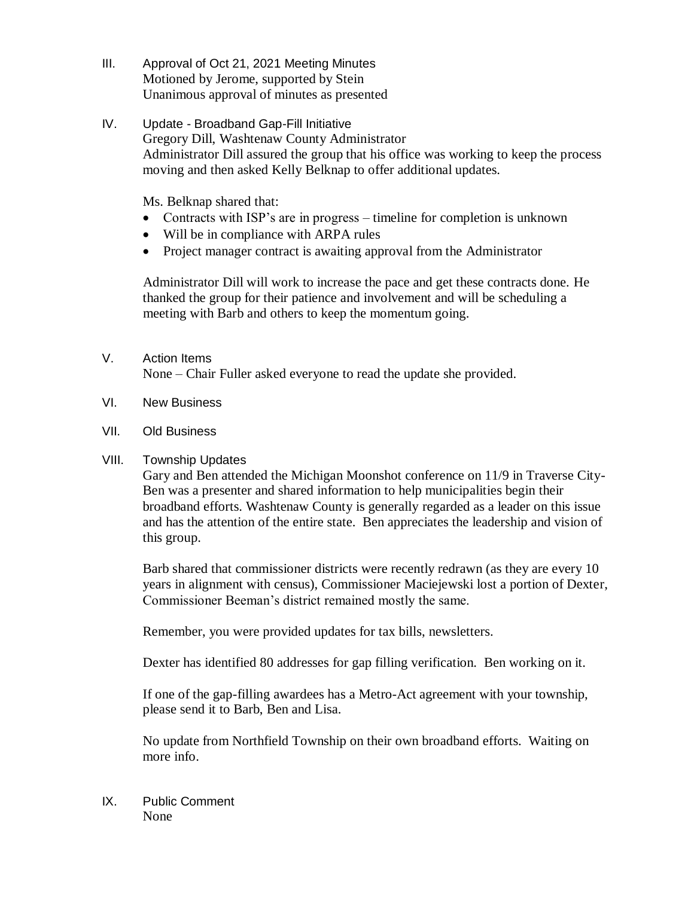- III. Approval of Oct 21, 2021 Meeting Minutes Motioned by Jerome, supported by Stein Unanimous approval of minutes as presented
- IV. Update Broadband Gap-Fill Initiative Gregory Dill, Washtenaw County Administrator Administrator Dill assured the group that his office was working to keep the process moving and then asked Kelly Belknap to offer additional updates.

Ms. Belknap shared that:

- Contracts with ISP's are in progress timeline for completion is unknown
- Will be in compliance with ARPA rules
- Project manager contract is awaiting approval from the Administrator

 Administrator Dill will work to increase the pace and get these contracts done. He thanked the group for their patience and involvement and will be scheduling a meeting with Barb and others to keep the momentum going.

- V. Action Items None – Chair Fuller asked everyone to read the update she provided.
- VI. New Business
- VII. Old Business

## VIII. Township Updates

Gary and Ben attended the Michigan Moonshot conference on 11/9 in Traverse City-Ben was a presenter and shared information to help municipalities begin their broadband efforts. Washtenaw County is generally regarded as a leader on this issue and has the attention of the entire state. Ben appreciates the leadership and vision of this group.

Barb shared that commissioner districts were recently redrawn (as they are every 10 years in alignment with census), Commissioner Maciejewski lost a portion of Dexter, Commissioner Beeman's district remained mostly the same.

Remember, you were provided updates for tax bills, newsletters.

Dexter has identified 80 addresses for gap filling verification. Ben working on it.

If one of the gap-filling awardees has a Metro-Act agreement with your township, please send it to Barb, Ben and Lisa.

No update from Northfield Township on their own broadband efforts. Waiting on more info.

IX. Public Comment None